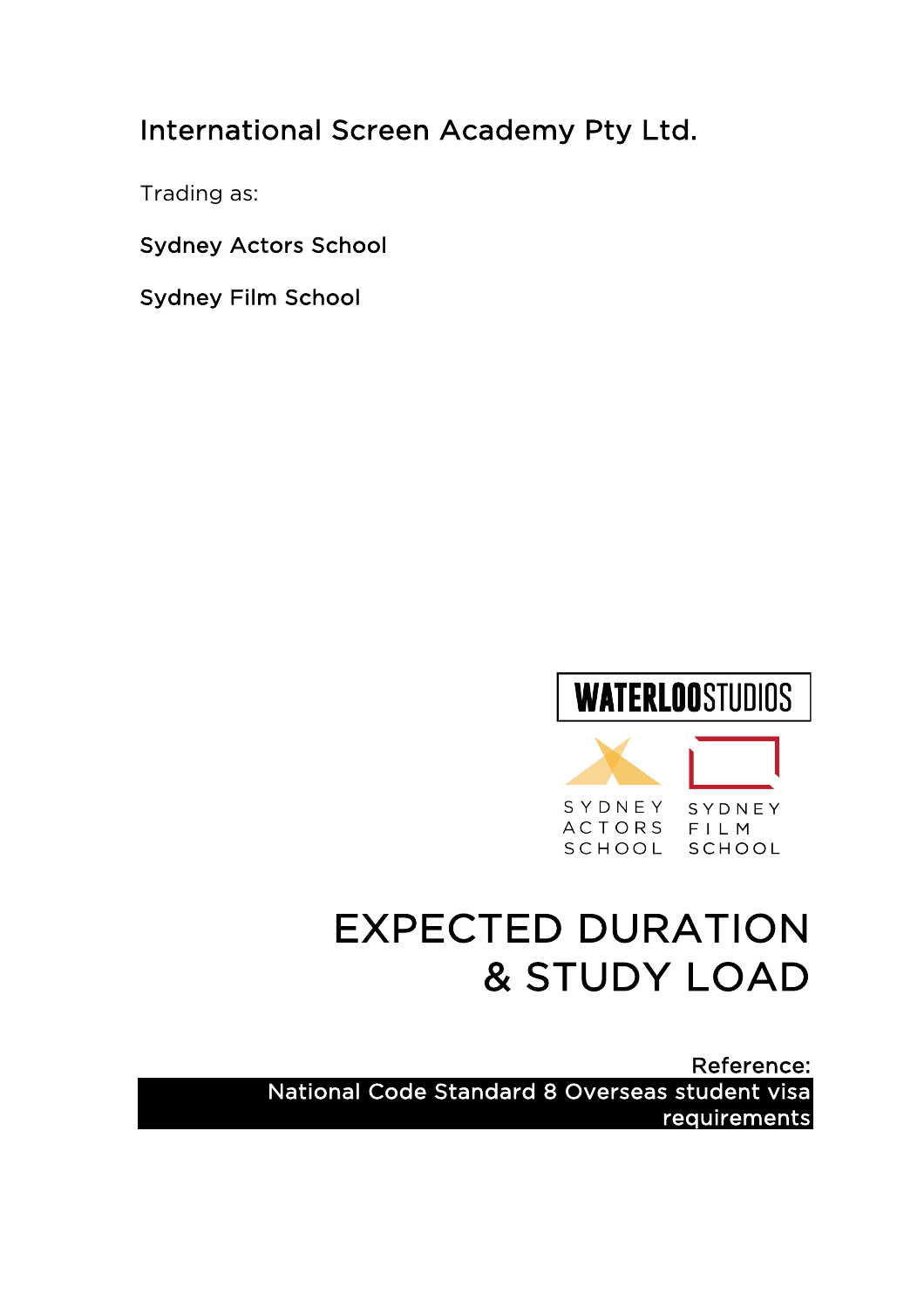## International Screen Academy Pty Ltd.

Trading as:

Sydney Actors School

Sydney Film School

# **WATERLOOSTUDIOS**



## EXPECTED DURATION & STUDY LOAD

Reference: National Code Standard 8 Overseas student visa requirements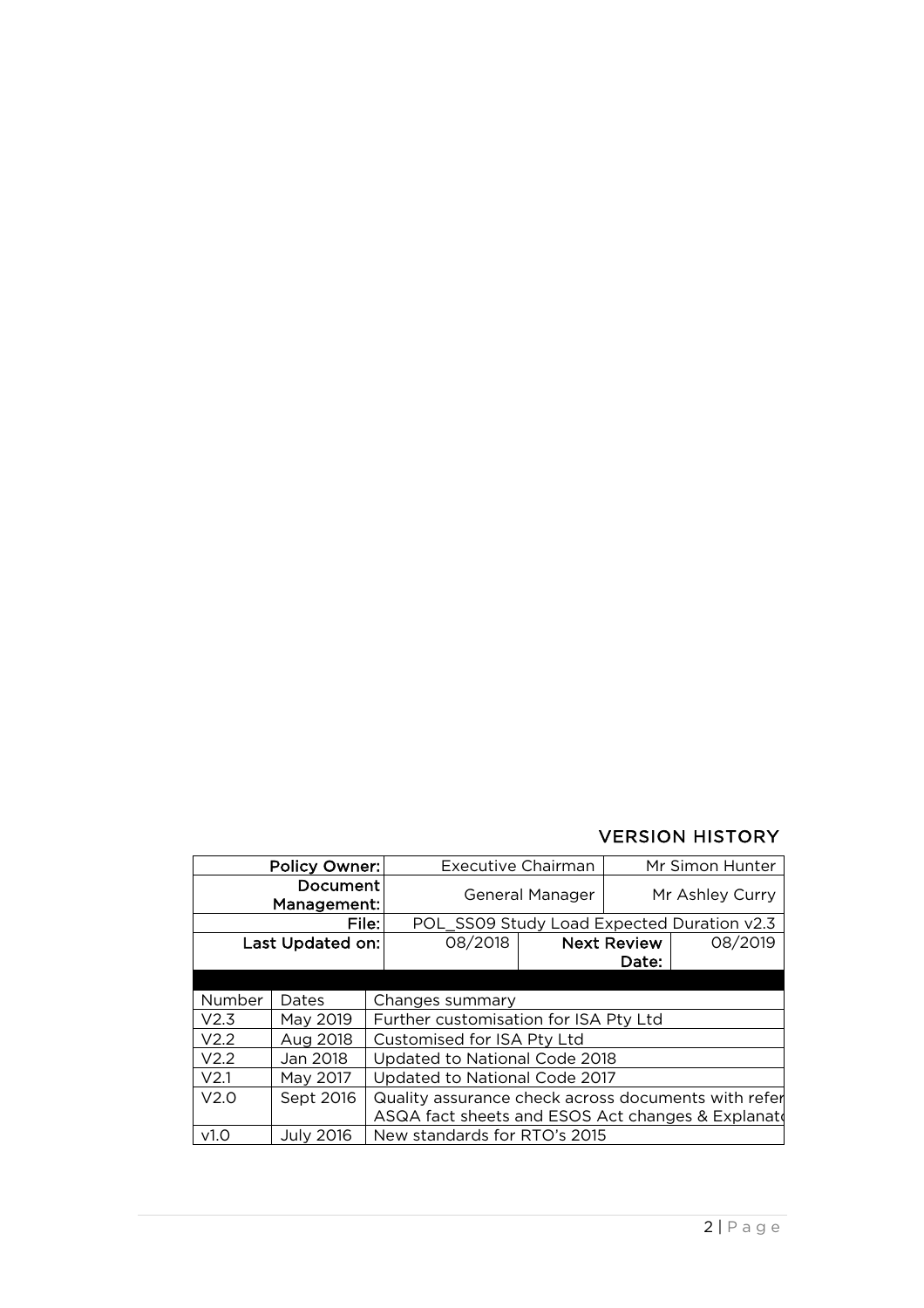#### VERSION HISTORY

| Policy Owner:            |                  |                                                                                                          | Executive Chairman                         |                    | Mr Simon Hunter |         |  |
|--------------------------|------------------|----------------------------------------------------------------------------------------------------------|--------------------------------------------|--------------------|-----------------|---------|--|
| Document:<br>Management: |                  |                                                                                                          | General Manager                            |                    | Mr Ashley Curry |         |  |
| File:                    |                  |                                                                                                          | POL SS09 Study Load Expected Duration v2.3 |                    |                 |         |  |
| Last Updated on:         |                  |                                                                                                          | 08/2018                                    | <b>Next Review</b> |                 | 08/2019 |  |
|                          |                  |                                                                                                          |                                            | Date:              |                 |         |  |
|                          |                  |                                                                                                          |                                            |                    |                 |         |  |
| Number                   | Dates            | Changes summary                                                                                          |                                            |                    |                 |         |  |
| V2.3                     | May 2019         | Further customisation for ISA Pty Ltd                                                                    |                                            |                    |                 |         |  |
| V2.2                     | Aug 2018         | Customised for ISA Pty Ltd                                                                               |                                            |                    |                 |         |  |
| V2.2                     | Jan 2018         |                                                                                                          | Updated to National Code 2018              |                    |                 |         |  |
| V <sub>2.1</sub>         | May 2017         | Updated to National Code 2017                                                                            |                                            |                    |                 |         |  |
| V2.0                     | Sept 2016        | Quality assurance check across documents with refer<br>ASQA fact sheets and ESOS Act changes & Explanate |                                            |                    |                 |         |  |
| v1.0                     | <b>July 2016</b> | New standards for RTO's 2015                                                                             |                                            |                    |                 |         |  |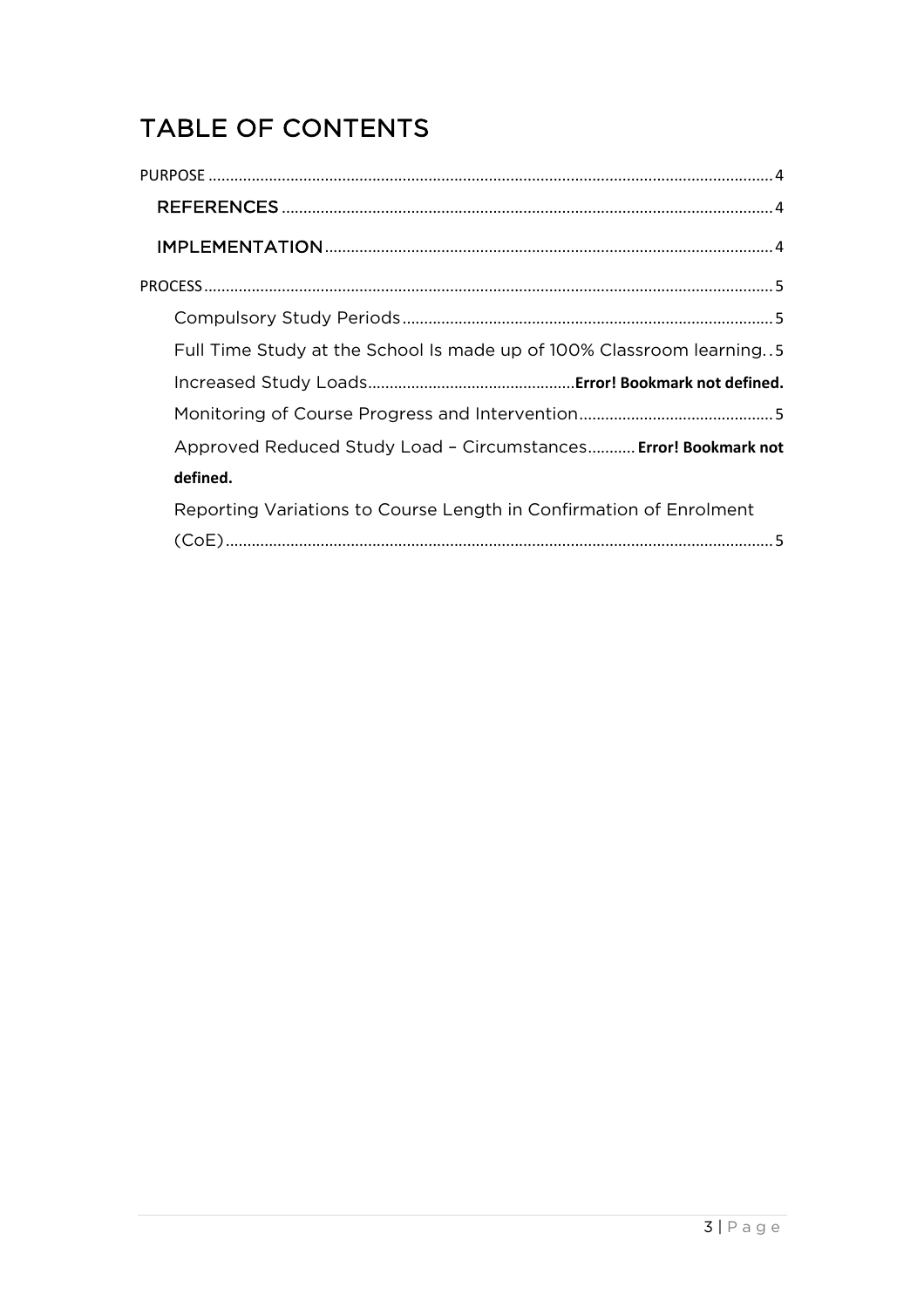## TABLE OF CONTENTS

| Full Time Study at the School Is made up of 100% Classroom learning5 |
|----------------------------------------------------------------------|
|                                                                      |
|                                                                      |
| Approved Reduced Study Load - Circumstances Error! Bookmark not      |
| defined.                                                             |
| Reporting Variations to Course Length in Confirmation of Enrolment   |
|                                                                      |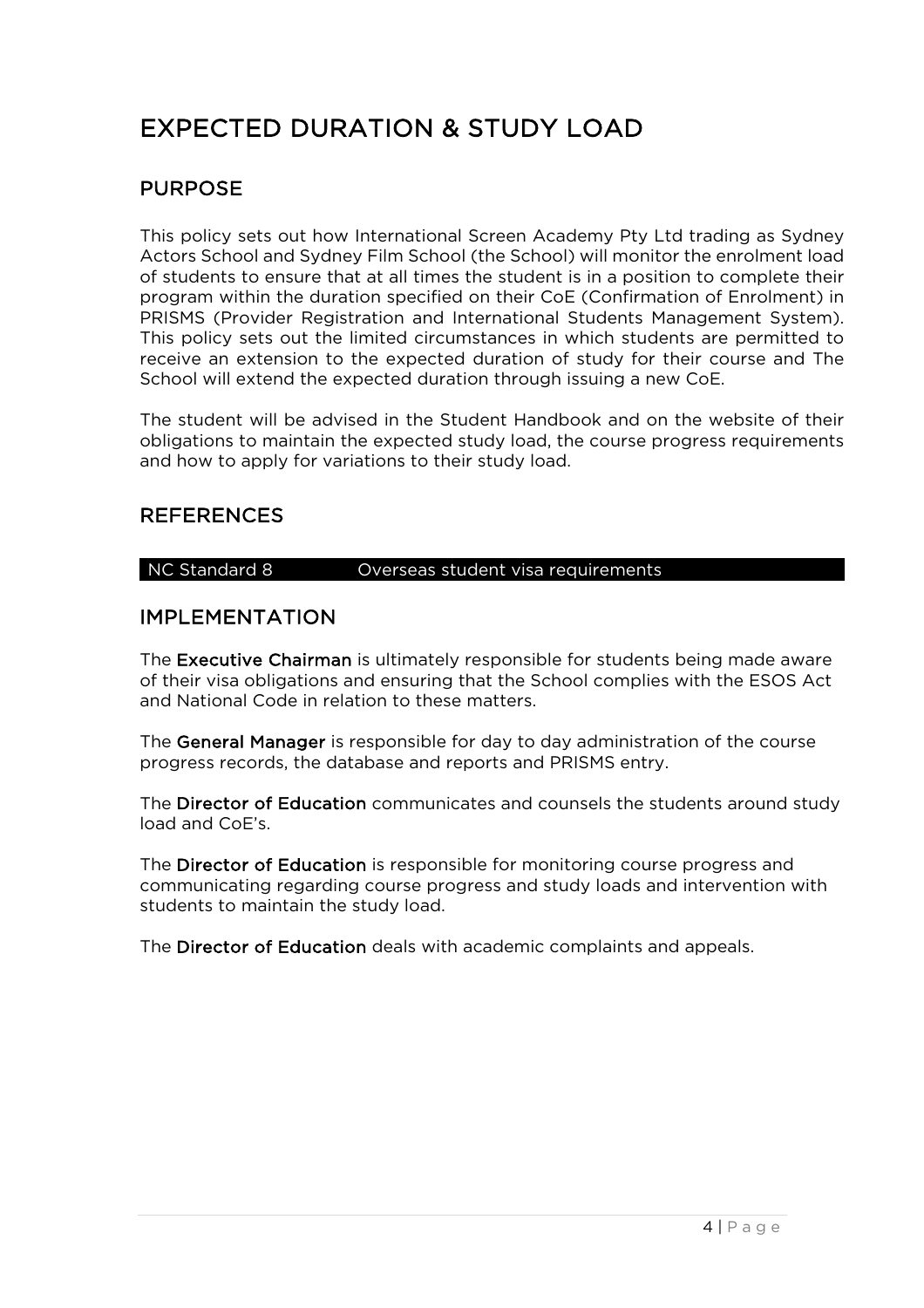## EXPECTED DURATION & STUDY LOAD

#### PURPOSE

This policy sets out how International Screen Academy Pty Ltd trading as Sydney Actors School and Sydney Film School (the School) will monitor the enrolment load of students to ensure that at all times the student is in a position to complete their program within the duration specified on their CoE (Confirmation of Enrolment) in PRISMS (Provider Registration and International Students Management System). This policy sets out the limited circumstances in which students are permitted to receive an extension to the expected duration of study for their course and The School will extend the expected duration through issuing a new CoE.

The student will be advised in the Student Handbook and on the website of their obligations to maintain the expected study load, the course progress requirements and how to apply for variations to their study load.

#### REFERENCES

#### NC Standard 8 **Overseas student visa requirements**

#### IMPLEMENTATION

The Executive Chairman is ultimately responsible for students being made aware of their visa obligations and ensuring that the School complies with the ESOS Act and National Code in relation to these matters.

The General Manager is responsible for day to day administration of the course progress records, the database and reports and PRISMS entry.

The Director of Education communicates and counsels the students around study load and CoE's.

The Director of Education is responsible for monitoring course progress and communicating regarding course progress and study loads and intervention with students to maintain the study load.

The Director of Education deals with academic complaints and appeals.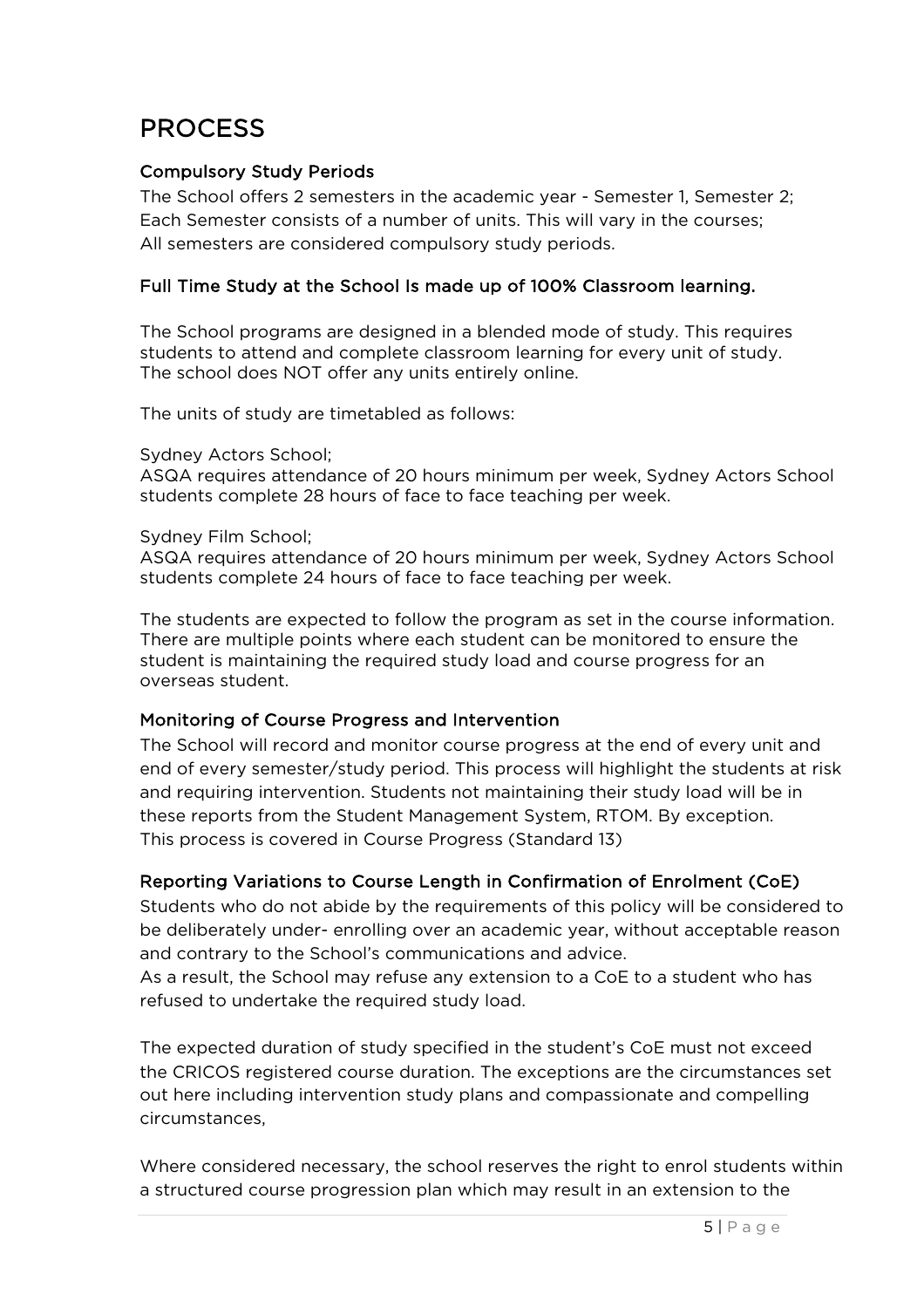### PROCESS

#### Compulsory Study Periods

The School offers 2 semesters in the academic year - Semester 1, Semester 2; Each Semester consists of a number of units. This will vary in the courses; All semesters are considered compulsory study periods.

#### Full Time Study at the School Is made up of 100% Classroom learning.

The School programs are designed in a blended mode of study. This requires students to attend and complete classroom learning for every unit of study. The school does NOT offer any units entirely online.

The units of study are timetabled as follows:

Sydney Actors School;

ASQA requires attendance of 20 hours minimum per week, Sydney Actors School students complete 28 hours of face to face teaching per week.

#### Sydney Film School;

ASQA requires attendance of 20 hours minimum per week, Sydney Actors School students complete 24 hours of face to face teaching per week.

The students are expected to follow the program as set in the course information. There are multiple points where each student can be monitored to ensure the student is maintaining the required study load and course progress for an overseas student.

#### Monitoring of Course Progress and Intervention

The School will record and monitor course progress at the end of every unit and end of every semester/study period. This process will highlight the students at risk and requiring intervention. Students not maintaining their study load will be in these reports from the Student Management System, RTOM. By exception. This process is covered in Course Progress (Standard 13)

#### Reporting Variations to Course Length in Confirmation of Enrolment (CoE)

Students who do not abide by the requirements of this policy will be considered to be deliberately under- enrolling over an academic year, without acceptable reason and contrary to the School's communications and advice.

As a result, the School may refuse any extension to a CoE to a student who has refused to undertake the required study load.

The expected duration of study specified in the student's CoE must not exceed the CRICOS registered course duration. The exceptions are the circumstances set out here including intervention study plans and compassionate and compelling circumstances,

Where considered necessary, the school reserves the right to enrol students within a structured course progression plan which may result in an extension to the